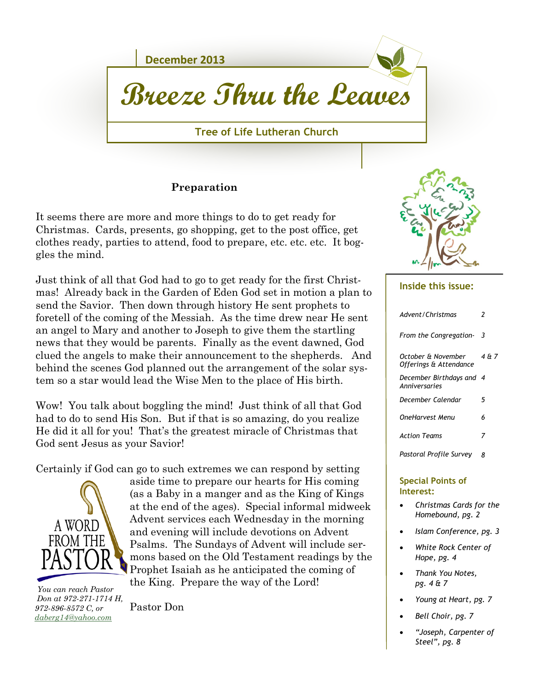

#### **Preparation**

It seems there are more and more things to do to get ready for Christmas. Cards, presents, go shopping, get to the post office, get clothes ready, parties to attend, food to prepare, etc. etc. etc. It boggles the mind.

Just think of all that God had to go to get ready for the first Christmas! Already back in the Garden of Eden God set in motion a plan to send the Savior. Then down through history He sent prophets to foretell of the coming of the Messiah. As the time drew near He sent an angel to Mary and another to Joseph to give them the startling news that they would be parents. Finally as the event dawned, God clued the angels to make their announcement to the shepherds. And behind the scenes God planned out the arrangement of the solar system so a star would lead the Wise Men to the place of His birth.

Wow! You talk about boggling the mind! Just think of all that God had to do to send His Son. But if that is so amazing, do you realize He did it all for you! That's the greatest miracle of Christmas that God sent Jesus as your Savior!

Certainly if God can go to such extremes we can respond by setting



 *You can reach Pastor Don at 972-271-1714 H, 972-896-8572 C, or [daberg14@yahoo.com](mailto:daberg14@yahoo.com)*

aside time to prepare our hearts for His coming (as a Baby in a manger and as the King of Kings at the end of the ages). Special informal midweek Advent services each Wednesday in the morning and evening will include devotions on Advent Psalms. The Sundays of Advent will include sermons based on the Old Testament readings by the Prophet Isaiah as he anticipated the coming of the King. Prepare the way of the Lord!

Pastor Don



#### **Inside this issue:**

| Advent/Christmas                             | 2     |
|----------------------------------------------|-------|
| From the Congregation-                       | 3     |
| October & November<br>Offerings & Attendance | 4 & 7 |
| December Birthdays and<br>Anniversaries      | 4     |
| December Calendar                            | 5     |
| OneHarvest Menu                              | 6     |
| <b>Action Teams</b>                          | 7     |
| Pastoral Profile Survey                      | я     |
| Cancial Dainte of                            |       |

#### **Special Points of Interest:**

- *Christmas Cards for the Homebound, pg. 2*
- *Islam Conference, pg. 3*
- *White Rock Center of Hope, pg. 4*
- *Thank You Notes, pg. 4 & 7*
- *Young at Heart, pg. 7*
- *Bell Choir, pg. 7*
- *"Joseph, Carpenter of Steel", pg. 8*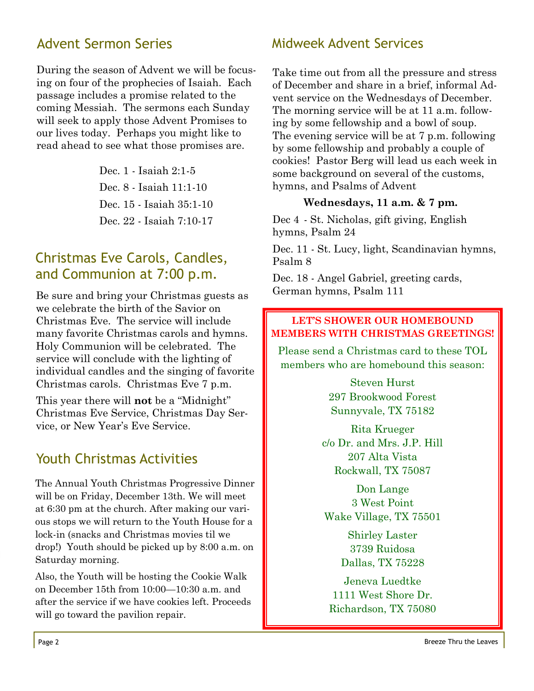# Advent Sermon Series

During the season of Advent we will be focusing on four of the prophecies of Isaiah. Each passage includes a promise related to the coming Messiah. The sermons each Sunday will seek to apply those Advent Promises to our lives today. Perhaps you might like to read ahead to see what those promises are.

> Dec. 1 - Isaiah 2:1-5 Dec. 8 - Isaiah 11:1-10 Dec. 15 - Isaiah 35:1-10 Dec. 22 - Isaiah 7:10-17

# Christmas Eve Carols, Candles, and Communion at 7:00 p.m.

Be sure and bring your Christmas guests as we celebrate the birth of the Savior on Christmas Eve. The service will include many favorite Christmas carols and hymns. Holy Communion will be celebrated. The service will conclude with the lighting of individual candles and the singing of favorite Christmas carols. Christmas Eve 7 p.m.

This year there will **not** be a "Midnight" Christmas Eve Service, Christmas Day Service, or New Year's Eve Service.

# Youth Christmas Activities

The Annual Youth Christmas Progressive Dinner will be on Friday, December 13th. We will meet at 6:30 pm at the church. After making our various stops we will return to the Youth House for a lock-in (snacks and Christmas movies til we drop!) Youth should be picked up by 8:00 a.m. on Saturday morning.

Also, the Youth will be hosting the Cookie Walk on December 15th from 10:00—10:30 a.m. and after the service if we have cookies left. Proceeds will go toward the pavilion repair.

### Midweek Advent Services

Take time out from all the pressure and stress of December and share in a brief, informal Advent service on the Wednesdays of December. The morning service will be at 11 a.m. following by some fellowship and a bowl of soup. The evening service will be at 7 p.m. following by some fellowship and probably a couple of cookies! Pastor Berg will lead us each week in some background on several of the customs, hymns, and Psalms of Advent

#### **Wednesdays, 11 a.m. & 7 pm.**

Dec 4 - St. Nicholas, gift giving, English hymns, Psalm 24

Dec. 11 - St. Lucy, light, Scandinavian hymns, Psalm 8

Dec. 18 - Angel Gabriel, greeting cards, German hymns, Psalm 111

#### **LET'S SHOWER OUR HOMEBOUND MEMBERS WITH CHRISTMAS GREETINGS!**

Please send a Christmas card to these TOL members who are homebound this season:

> Steven Hurst 297 Brookwood Forest Sunnyvale, TX 75182

Rita Krueger c/o Dr. and Mrs. J.P. Hill 207 Alta Vista Rockwall, TX 75087

Don Lange 3 West Point Wake Village, TX 75501

> Shirley Laster 3739 Ruidosa Dallas, TX 75228

Jeneva Luedtke 1111 West Shore Dr. Richardson, TX 75080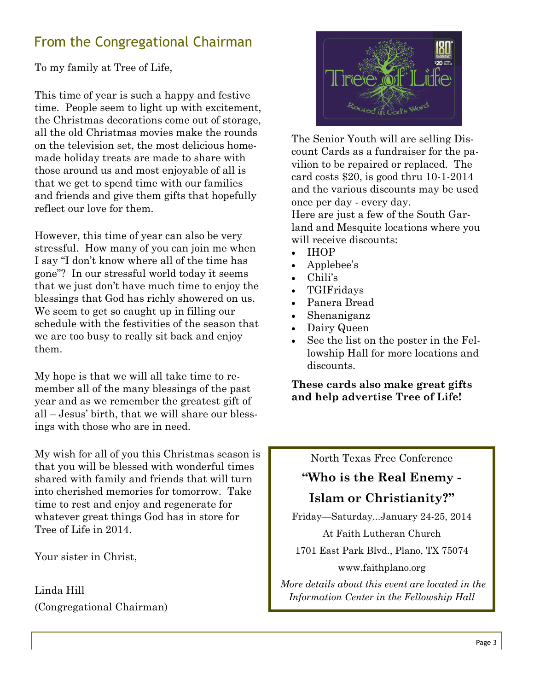# From the Congregational Chairman

To my family at Tree of Life,

This time of year is such a happy and festive time. People seem to light up with excitement, the Christmas decorations come out of storage, all the old Christmas movies make the rounds on the television set, the most delicious homemade holiday treats are made to share with those around us and most enjoyable of all is that we get to spend time with our families and friends and give them gifts that hopefully reflect our love for them.

However, this time of year can also be very stressful. How many of you can join me when I say "I don't know where all of the time has gone"? In our stressful world today it seems that we just don't have much time to enjoy the blessings that God has richly showered on us. We seem to get so caught up in filling our schedule with the festivities of the season that we are too busy to really sit back and enjoy them.

My hope is that we will all take time to remember all of the many blessings of the past year and as we remember the greatest gift of all – Jesus' birth, that we will share our blessings with those who are in need.

My wish for all of you this Christmas season is that you will be blessed with wonderful times shared with family and friends that will turn into cherished memories for tomorrow. Take time to rest and enjoy and regenerate for whatever great things God has in store for Tree of Life in 2014.

Your sister in Christ,

Linda Hill (Congregational Chairman)



The Senior Youth will are selling Discount Cards as a fundraiser for the pavilion to be repaired or replaced. The card costs \$20, is good thru 10-1-2014 and the various discounts may be used once per day - every day.

Here are just a few of the South Garland and Mesquite locations where you will receive discounts:

- IHOP
- Applebee's
- Chili's
- TGIFridays
- Panera Bread
- Shenaniganz
- Dairy Queen
- See the list on the poster in the Fellowship Hall for more locations and discounts.

**These cards also make great gifts and help advertise Tree of Life!**

#### North Texas Free Conference

# **"Who is the Real Enemy - Islam or Christianity?"**

Friday—Saturday...January 24-25, 2014

At Faith Lutheran Church

1701 East Park Blvd., Plano, TX 75074

www.faithplano.org

*More details about this event are located in the Information Center in the Fellowship Hall*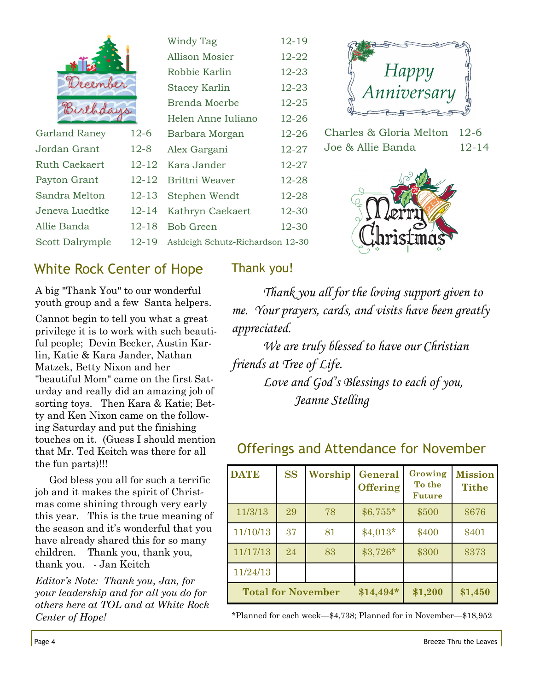|                          |           | <b>Windy Tag</b>                 | $12 - 19$ |
|--------------------------|-----------|----------------------------------|-----------|
|                          |           | Allison Mosier                   | $12 - 22$ |
|                          |           | Robbie Karlin                    | $12 - 23$ |
| December                 |           | <b>Stacey Karlin</b>             | 12-23     |
| Birthday                 |           | Brenda Moerbe                    | $12 - 25$ |
|                          |           | Helen Anne Iuliano               | $12 - 26$ |
| <b>Garland Raney</b>     | $12-6$    | Barbara Morgan                   | 12-26     |
| Jordan Grant             | $12 - 8$  | Alex Gargani                     | $12 - 27$ |
| <b>Ruth Caekaert</b>     | $12 - 12$ | Kara Jander                      | $12 - 27$ |
| Payton Grant             | $12 - 12$ | Brittni Weaver                   | 12-28     |
| Sandra Melton            | $12 - 13$ | Stephen Wendt                    | 12-28     |
| Jeneva Luedtke           | $12 - 14$ | Kathryn Caekaert                 | 12-30     |
| Allie Banda              | $12 - 18$ | <b>Bob Green</b>                 | 12-30     |
| 12-19<br>Scott Dalrymple |           | Ashleigh Schutz-Richardson 12-30 |           |
|                          |           |                                  |           |



Charles & Gloria Melton 12-6 Joe & Allie Banda 12-14



# White Rock Center of Hope

A big "Thank You" to our wonderful youth group and a few Santa helpers.

Cannot begin to tell you what a great privilege it is to work with such beautiful people; Devin Becker, Austin Karlin, Katie & Kara Jander, Nathan Matzek, Betty Nixon and her "beautiful Mom" came on the first Saturday and really did an amazing job of sorting toys. Then Kara & Katie; Betty and Ken Nixon came on the following Saturday and put the finishing touches on it. (Guess I should mention that Mr. Ted Keitch was there for all the fun parts)!!!

 God bless you all for such a terrific job and it makes the spirit of Christmas come shining through very early this year. This is the true meaning of the season and it's wonderful that you have already shared this for so many children. Thank you, thank you, thank you. - Jan Keitch

*Editor's Note: Thank you, Jan, for your leadership and for all you do for others here at TOL and at White Rock Center of Hope!*

### Thank you!

*Thank you all for the loving support given to me. Your prayers, cards, and visits have been greatly appreciated.*

*We are truly blessed to have our Christian friends at Tree of Life. Love and God's Blessings to each of you, Jeanne Stelling*

## Offerings and Attendance for November

| <b>DATE</b>                                                   | <b>SS</b> | Worship | General<br><b>Offering</b> | Growing<br>To the<br><b>Future</b> | <b>Mission</b><br><b>Tithe</b> |
|---------------------------------------------------------------|-----------|---------|----------------------------|------------------------------------|--------------------------------|
| 11/3/13                                                       | 29        | 78      | $$6,755*$                  | \$500                              | \$676                          |
| 11/10/13                                                      | 37        | 81      | $$4,013*$                  | \$400                              | \$401                          |
| 11/17/13                                                      | 24        | 83      | $$3,726*$                  | \$300                              | \$373                          |
| 11/24/13                                                      |           |         |                            |                                    |                                |
| <b>Total for November</b><br>\$1,200<br>$$14,494*$<br>\$1,450 |           |         |                            |                                    |                                |

\*Planned for each week—\$4,738; Planned for in November—\$18,952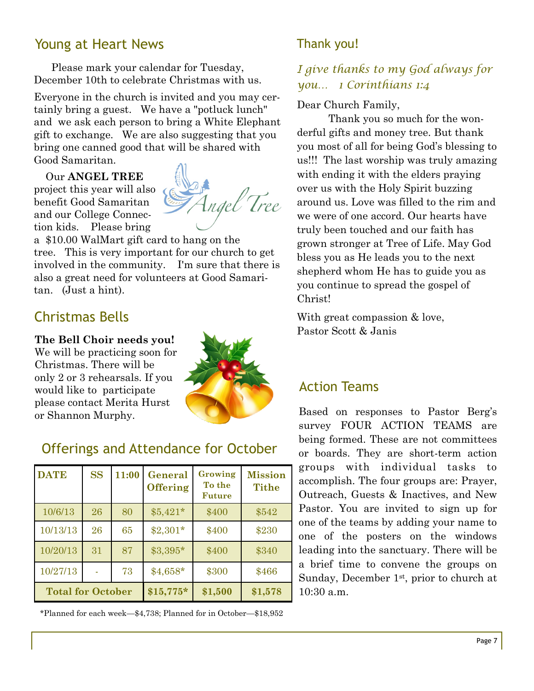## Young at Heart News

 Please mark your calendar for Tuesday, December 10th to celebrate Christmas with us.

Everyone in the church is invited and you may certainly bring a guest. We have a "potluck lunch" and we ask each person to bring a White Elephant gift to exchange. We are also suggesting that you bring one canned good that will be shared with Good Samaritan.

#### Our **ANGEL TREE**

project this year will also benefit Good Samaritan and our College Connection kids. Please bring



a \$10.00 WalMart gift card to hang on the tree. This is very important for our church to get involved in the community. I'm sure that there is also a great need for volunteers at Good Samaritan. (Just a hint).

# Christmas Bells

#### **The Bell Choir needs you!**

We will be practicing soon for Christmas. There will be only 2 or 3 rehearsals. If you would like to participate please contact Merita Hurst or Shannon Murphy.



### Offerings and Attendance for October

| <b>DATE</b>              | <b>SS</b> | 11:00 | General<br><b>Offering</b> | Growing<br>To the<br><b>Future</b> | <b>Mission</b><br><b>Tithe</b> |
|--------------------------|-----------|-------|----------------------------|------------------------------------|--------------------------------|
| 10/6/13                  | 26        | 80    | $$5,421*$                  | \$400                              | \$542                          |
| 10/13/13                 | 26        | 65    | $$2,301*$                  | \$400                              | \$230                          |
| 10/20/13                 | 31        | 87    | $$3,395*$                  | \$400                              | \$340                          |
| 10/27/13                 |           | 73    | $$4,658*$                  | \$300                              | \$466                          |
| <b>Total for October</b> |           |       | $$15,775*$                 | \$1,500                            | \$1,578                        |

\*Planned for each week—\$4,738; Planned for in October—\$18,952

### Thank you!

### *I give thanks to my God always for you… 1 Corinthians 1:4*

Dear Church Family,

Thank you so much for the wonderful gifts and money tree. But thank you most of all for being God's blessing to us!!! The last worship was truly amazing with ending it with the elders praying over us with the Holy Spirit buzzing around us. Love was filled to the rim and we were of one accord. Our hearts have truly been touched and our faith has grown stronger at Tree of Life. May God bless you as He leads you to the next shepherd whom He has to guide you as you continue to spread the gospel of Christ!

With great compassion  $&$  love, Pastor Scott & Janis

### Action Teams

Based on responses to Pastor Berg's survey FOUR ACTION TEAMS are being formed. These are not committees or boards. They are short-term action groups with individual tasks to accomplish. The four groups are: Prayer, Outreach, Guests & Inactives, and New Pastor. You are invited to sign up for one of the teams by adding your name to one of the posters on the windows leading into the sanctuary. There will be a brief time to convene the groups on Sunday, December 1<sup>st</sup>, prior to church at 10:30 a.m.